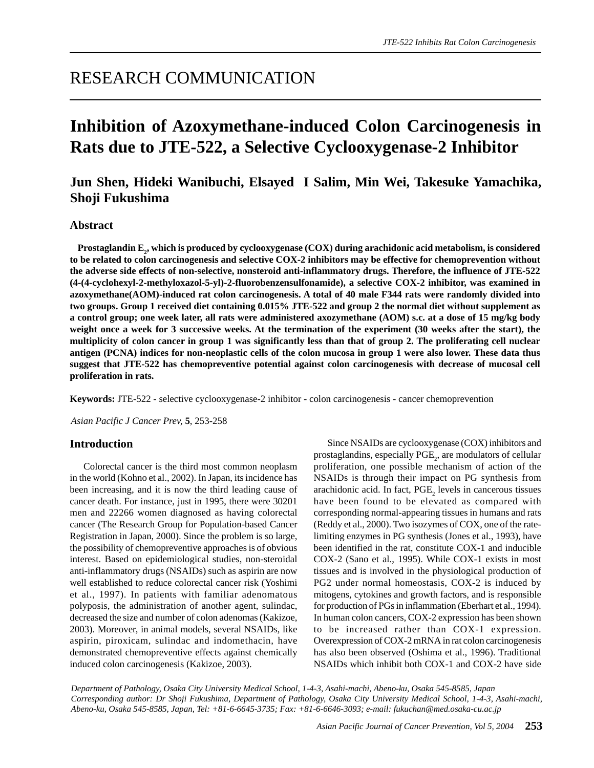# **Inhibition of Azoxymethane-induced Colon Carcinogenesis in Rats due to JTE-522, a Selective Cyclooxygenase-2 Inhibitor**

# **Jun Shen, Hideki Wanibuchi, Elsayed I Salim, Min Wei, Takesuke Yamachika, Shoji Fukushima**

#### **Abstract**

Prostaglandin E<sub>2</sub>, which is produced by cyclooxygenase (COX) during arachidonic acid metabolism, is considered **to be related to colon carcinogenesis and selective COX-2 inhibitors may be effective for chemoprevention without the adverse side effects of non-selective, nonsteroid anti-inflammatory drugs. Therefore, the influence of JTE-522 (4-(4-cyclohexyl-2-methyloxazol-5-yl)-2-fluorobenzensulfonamide), a selective COX-2 inhibitor, was examined in azoxymethane(AOM)-induced rat colon carcinogenesis. A total of 40 male F344 rats were randomly divided into two groups. Group 1 received diet containing 0.015% JTE-522 and group 2 the normal diet without supplement as a control group; one week later, all rats were administered axozymethane (AOM) s.c. at a dose of 15 mg/kg body weight once a week for 3 successive weeks. At the termination of the experiment (30 weeks after the start), the multiplicity of colon cancer in group 1 was significantly less than that of group 2. The proliferating cell nuclear antigen (PCNA) indices for non-neoplastic cells of the colon mucosa in group 1 were also lower. These data thus suggest that JTE-522 has chemopreventive potential against colon carcinogenesis with decrease of mucosal cell proliferation in rats.**

**Keywords:** JTE-522 - selective cyclooxygenase-2 inhibitor - colon carcinogenesis - cancer chemoprevention

*Asian Pacific J Cancer Prev,* **5**, 253-258

#### **Introduction**

Colorectal cancer is the third most common neoplasm in the world (Kohno et al., 2002). In Japan, its incidence has been increasing, and it is now the third leading cause of cancer death. For instance, just in 1995, there were 30201 men and 22266 women diagnosed as having colorectal cancer (The Research Group for Population-based Cancer Registration in Japan, 2000). Since the problem is so large, the possibility of chemopreventive approaches is of obvious interest. Based on epidemiological studies, non-steroidal anti-inflammatory drugs (NSAIDs) such as aspirin are now well established to reduce colorectal cancer risk (Yoshimi et al., 1997). In patients with familiar adenomatous polyposis, the administration of another agent, sulindac, decreased the size and number of colon adenomas (Kakizoe, 2003). Moreover, in animal models, several NSAIDs, like aspirin, piroxicam, sulindac and indomethacin, have demonstrated chemopreventive effects against chemically induced colon carcinogenesis (Kakizoe, 2003).

Since NSAIDs are cyclooxygenase (COX) inhibitors and prostaglandins, especially  $\mathrm{PGE}_2$ , are modulators of cellular proliferation, one possible mechanism of action of the NSAIDs is through their impact on PG synthesis from arachidonic acid. In fact,  $PGE_2$  levels in cancerous tissues have been found to be elevated as compared with corresponding normal-appearing tissues in humans and rats (Reddy et al., 2000). Two isozymes of COX, one of the ratelimiting enzymes in PG synthesis (Jones et al., 1993), have been identified in the rat, constitute COX-1 and inducible COX-2 (Sano et al., 1995). While COX-1 exists in most tissues and is involved in the physiological production of PG2 under normal homeostasis, COX-2 is induced by mitogens, cytokines and growth factors, and is responsible for production of PGs in inflammation (Eberhart et al., 1994). In human colon cancers, COX-2 expression has been shown to be increased rather than COX-1 expression. Overexpression of COX-2 mRNA in rat colon carcinogenesis has also been observed (Oshima et al., 1996). Traditional NSAIDs which inhibit both COX-1 and COX-2 have side

*Department of Pathology, Osaka City University Medical School, 1-4-3, Asahi-machi, Abeno-ku, Osaka 545-8585, Japan Corresponding author: Dr Shoji Fukushima, Department of Pathology, Osaka City University Medical School, 1-4-3, Asahi-machi, Abeno-ku, Osaka 545-8585, Japan, Tel: +81-6-6645-3735; Fax: +81-6-6646-3093; e-mail: fukuchan@med.osaka-cu.ac.jp*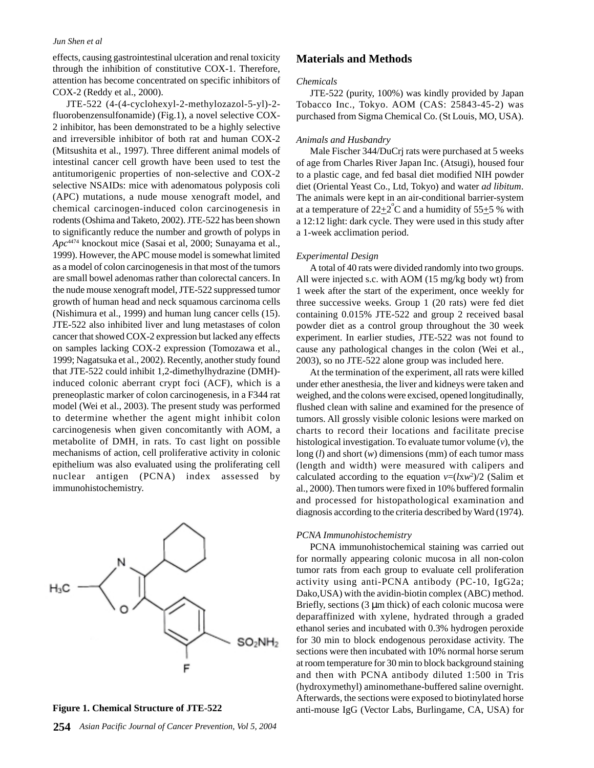effects, causing gastrointestinal ulceration and renal toxicity through the inhibition of constitutive COX-1. Therefore, attention has become concentrated on specific inhibitors of COX-2 (Reddy et al., 2000).

JTE-522 (4-(4-cyclohexyl-2-methylozazol-5-yl)-2 fluorobenzensulfonamide) (Fig.1), a novel selective COX-2 inhibitor, has been demonstrated to be a highly selective and irreversible inhibitor of both rat and human COX-2 (Mitsushita et al., 1997). Three different animal models of intestinal cancer cell growth have been used to test the antitumorigenic properties of non-selective and COX-2 selective NSAIDs: mice with adenomatous polyposis coli (APC) mutations, a nude mouse xenograft model, and chemical carcinogen-induced colon carcinogenesis in rodents (Oshima and Taketo, 2002). JTE-522 has been shown to significantly reduce the number and growth of polyps in *Apc*4474 knockout mice (Sasai et al, 2000; Sunayama et al., 1999). However, the APC mouse model is somewhat limited as a model of colon carcinogenesis in that most of the tumors are small bowel adenomas rather than colorectal cancers. In the nude mouse xenograft model, JTE-522 suppressed tumor growth of human head and neck squamous carcinoma cells (Nishimura et al., 1999) and human lung cancer cells (15). JTE-522 also inhibited liver and lung metastases of colon cancer that showed COX-2 expression but lacked any effects on samples lacking COX-2 expression (Tomozawa et al., 1999; Nagatsuka et al., 2002). Recently, another study found that JTE-522 could inhibit 1,2-dimethylhydrazine (DMH) induced colonic aberrant crypt foci (ACF), which is a preneoplastic marker of colon carcinogenesis, in a F344 rat model (Wei et al., 2003). The present study was performed to determine whether the agent might inhibit colon carcinogenesis when given concomitantly with AOM, a metabolite of DMH, in rats. To cast light on possible mechanisms of action, cell proliferative activity in colonic epithelium was also evaluated using the proliferating cell nuclear antigen (PCNA) index assessed by immunohistochemistry.





#### **Materials and Methods**

#### *Chemicals*

JTE-522 (purity, 100%) was kindly provided by Japan Tobacco Inc., Tokyo. AOM (CAS: 25843-45-2) was purchased from Sigma Chemical Co. (St Louis, MO, USA).

#### *Animals and Husbandry*

Male Fischer 344/DuCrj rats were purchased at 5 weeks of age from Charles River Japan Inc. (Atsugi), housed four to a plastic cage, and fed basal diet modified NIH powder diet (Oriental Yeast Co., Ltd, Tokyo) and water *ad libitum*. The animals were kept in an air-conditional barrier-system at a temperature of  $22\pm2^{\circ}$ C and a humidity of 55 $\pm$ 5 % with a 12:12 light: dark cycle. They were used in this study after a 1-week acclimation period.

#### *Experimental Design*

A total of 40 rats were divided randomly into two groups. All were injected s.c. with AOM (15 mg/kg body wt) from 1 week after the start of the experiment, once weekly for three successive weeks. Group 1 (20 rats) were fed diet containing 0.015% JTE-522 and group 2 received basal powder diet as a control group throughout the 30 week experiment. In earlier studies, JTE-522 was not found to cause any pathological changes in the colon (Wei et al., 2003), so no JTE-522 alone group was included here.

At the termination of the experiment, all rats were killed under ether anesthesia, the liver and kidneys were taken and weighed, and the colons were excised, opened longitudinally, flushed clean with saline and examined for the presence of tumors. All grossly visible colonic lesions were marked on charts to record their locations and facilitate precise histological investigation. To evaluate tumor volume (*v*), the long (*l*) and short (*w*) dimensions (mm) of each tumor mass (length and width) were measured with calipers and calculated according to the equation  $v = (lxw^2)/2$  (Salim et al., 2000). Then tumors were fixed in 10% buffered formalin and processed for histopathological examination and diagnosis according to the criteria described by Ward (1974).

#### *PCNA Immunohistochemistry*

PCNA immunohistochemical staining was carried out for normally appearing colonic mucosa in all non-colon tumor rats from each group to evaluate cell proliferation activity using anti-PCNA antibody (PC-10, IgG2a; Dako,USA) with the avidin-biotin complex (ABC) method. Briefly, sections  $(3 \mu m)$  thick) of each colonic mucosa were deparaffinized with xylene, hydrated through a graded ethanol series and incubated with 0.3% hydrogen peroxide for 30 min to block endogenous peroxidase activity. The sections were then incubated with 10% normal horse serum at room temperature for 30 min to block background staining and then with PCNA antibody diluted 1:500 in Tris (hydroxymethyl) aminomethane-buffered saline overnight. Afterwards, the sections were exposed to biotinylated horse **Figure 1. Chemical Structure of JTE-522** anti-mouse IgG (Vector Labs, Burlingame, CA, USA) for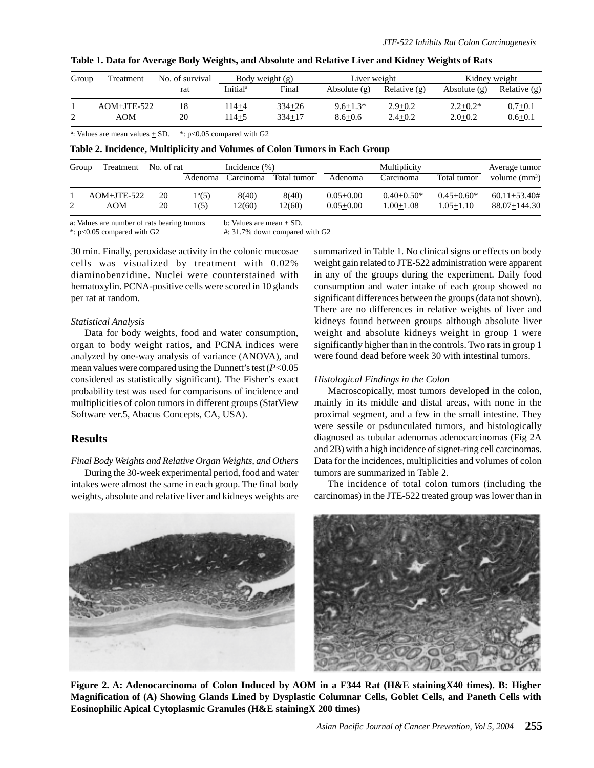| Group | Treatment     | No. of survival | Body weight $(g)$    |            | Liver weight   |              | Kidney weight  |                |
|-------|---------------|-----------------|----------------------|------------|----------------|--------------|----------------|----------------|
|       |               | rat             | Initial <sup>a</sup> | Final      | Absolute $(g)$ | Relative (g) | Absolute $(g)$ | Relative $(g)$ |
|       | $AOM+JTE-522$ | 18              | 114+4                | $334 + 26$ | $9.6 + 1.3*$   | $2.9+0.2$    | $2.2+0.2*$     | $0.7 + 0.1$    |
|       | AOM           | 20              | 114+5                | $334 + 17$ | $8.6 + 0.6$    | $2.4 + 0.2$  | $2.0 + 0.2$    | $0.6 + 0.1$    |

|  |  |  | Table 1. Data for Average Body Weights, and Absolute and Relative Liver and Kidney Weights of Rats |
|--|--|--|----------------------------------------------------------------------------------------------------|
|  |  |  |                                                                                                    |

<sup>a</sup>: Values are mean values  $\pm$  SD. \*: p<0.05 compared with G2

**Table 2. Incidence, Multiplicity and Volumes of Colon Tumors in Each Group**

| Group | Treatment            | No. of rat | Incidence $(\% )$ |                |                 | Multiplicity                   |                                 |                             | Average tumor                        |
|-------|----------------------|------------|-------------------|----------------|-----------------|--------------------------------|---------------------------------|-----------------------------|--------------------------------------|
|       |                      |            | Adenoma           | Carcinoma      | Total tumor     | Adenoma                        | Carcinoma                       | Total tumor                 | volume $(mm^3)$                      |
|       | $AOM+JTE-522$<br>AOM | 20<br>20   | $1^a(5)$<br>1(5)  | 8(40)<br>2(60) | 8(40)<br>12(60) | $0.05 + 0.00$<br>$0.05 + 0.00$ | $0.40 + 0.50*$<br>$1.00 + 1.08$ | $0.45 + 0.60*$<br>1.05+1.10 | $60.11 + 53.40#$<br>$88.07 + 144.30$ |

a: Values are number of rats bearing tumors b: Values are mean  $\pm$  SD.

\*: p<0.05 compared with G2 #: 31.7% down compared with G2

30 min. Finally, peroxidase activity in the colonic mucosae cells was visualized by treatment with 0.02% diaminobenzidine. Nuclei were counterstained with hematoxylin. PCNA-positive cells were scored in 10 glands per rat at random.

#### *Statistical Analysis*

Data for body weights, food and water consumption, organ to body weight ratios, and PCNA indices were analyzed by one-way analysis of variance (ANOVA), and mean values were compared using the Dunnett's test (*P<*0.05 considered as statistically significant). The Fisher's exact probability test was used for comparisons of incidence and multiplicities of colon tumors in different groups (StatView Software ver.5, Abacus Concepts, CA, USA).

# **Results**

*Final Body Weights and Relative Organ Weights, and Others*

During the 30-week experimental period, food and water intakes were almost the same in each group. The final body weights, absolute and relative liver and kidneys weights are summarized in Table 1. No clinical signs or effects on body weight gain related to JTE-522 administration were apparent in any of the groups during the experiment. Daily food consumption and water intake of each group showed no significant differences between the groups (data not shown). There are no differences in relative weights of liver and kidneys found between groups although absolute liver weight and absolute kidneys weight in group 1 were significantly higher than in the controls. Two rats in group 1 were found dead before week 30 with intestinal tumors.

### *Histological Findings in the Colon*

Macroscopically, most tumors developed in the colon, mainly in its middle and distal areas, with none in the proximal segment, and a few in the small intestine. They were sessile or psdunculated tumors, and histologically diagnosed as tubular adenomas adenocarcinomas (Fig 2A and 2B) with a high incidence of signet-ring cell carcinomas. Data for the incidences, multiplicities and volumes of colon tumors are summarized in Table 2.

The incidence of total colon tumors (including the carcinomas) in the JTE-522 treated group was lower than in



**Figure 2. A: Adenocarcinoma of Colon Induced by AOM in a F344 Rat (H&E stainingX40 times). B: Higher Magnification of (A) Showing Glands Lined by Dysplastic Columnar Cells, Goblet Cells, and Paneth Cells with Eosinophilic Apical Cytoplasmic Granules (H&E stainingX 200 times)**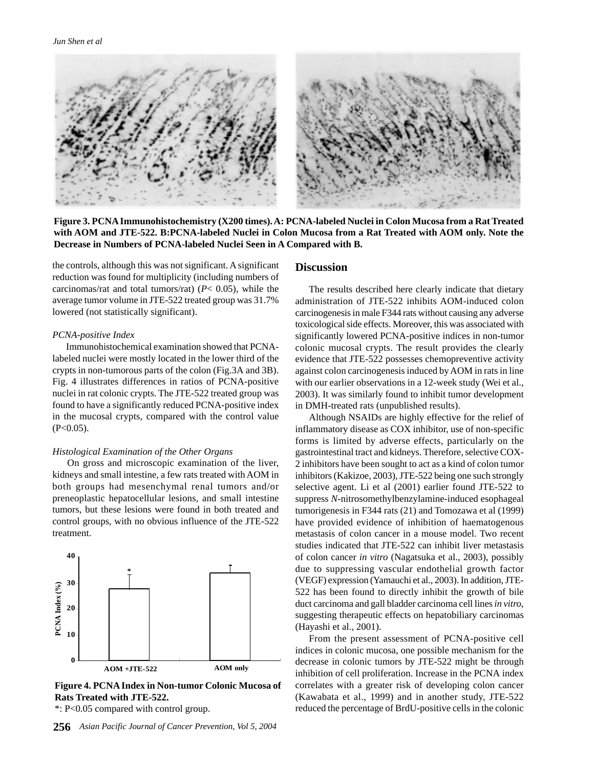

**Figure 3. PCNA Immunohistochemistry (X200 times). A: PCNA-labeled Nuclei in Colon Mucosa from a Rat Treated with AOM and JTE-522. B:PCNA-labeled Nuclei in Colon Mucosa from a Rat Treated with AOM only. Note the Decrease in Numbers of PCNA-labeled Nuclei Seen in A Compared with B.**

the controls, although this was not significant. A significant reduction was found for multiplicity (including numbers of carcinomas/rat and total tumors/rat) (*P*< 0.05), while the average tumor volume in JTE-522 treated group was 31.7% lowered (not statistically significant).

#### *PCNA-positive Index*

Immunohistochemical examination showed that PCNAlabeled nuclei were mostly located in the lower third of the crypts in non-tumorous parts of the colon (Fig.3A and 3B). Fig. 4 illustrates differences in ratios of PCNA-positive nuclei in rat colonic crypts. The JTE-522 treated group was found to have a significantly reduced PCNA-positive index in the mucosal crypts, compared with the control value  $(P<0.05)$ .

#### *Histological Examination of the Other Organs*

 On gross and microscopic examination of the liver, kidneys and small intestine, a few rats treated with AOM in both groups had mesenchymal renal tumors and/or preneoplastic hepatocellular lesions, and small intestine tumors, but these lesions were found in both treated and control groups, with no obvious influence of the JTE-522 treatment.



**Figure 4. PCNA Index in Non-tumor Colonic Mucosa of Rats Treated with JTE-522.**

\*: P<0.05 compared with control group.

#### **Discussion**

The results described here clearly indicate that dietary administration of JTE-522 inhibits AOM-induced colon carcinogenesis in male F344 rats without causing any adverse toxicological side effects. Moreover, this was associated with significantly lowered PCNA-positive indices in non-tumor colonic mucosal crypts. The result provides the clearly evidence that JTE-522 possesses chemopreventive activity against colon carcinogenesis induced by AOM in rats in line with our earlier observations in a 12-week study (Wei et al., 2003). It was similarly found to inhibit tumor development in DMH-treated rats (unpublished results).

Although NSAIDs are highly effective for the relief of inflammatory disease as COX inhibitor, use of non-specific forms is limited by adverse effects, particularly on the gastrointestinal tract and kidneys. Therefore, selective COX-2 inhibitors have been sought to act as a kind of colon tumor inhibitors (Kakizoe, 2003), JTE-522 being one such strongly selective agent. Li et al (2001) earlier found JTE-522 to suppress *N*-nitrosomethylbenzylamine-induced esophageal tumorigenesis in F344 rats (21) and Tomozawa et al (1999) have provided evidence of inhibition of haematogenous metastasis of colon cancer in a mouse model. Two recent studies indicated that JTE-522 can inhibit liver metastasis of colon cancer *in vitro* (Nagatsuka et al., 2003), possibly due to suppressing vascular endothelial growth factor (VEGF) expression (Yamauchi et al., 2003). In addition, JTE-522 has been found to directly inhibit the growth of bile duct carcinoma and gall bladder carcinoma cell lines *in vitro*, suggesting therapeutic effects on hepatobiliary carcinomas (Hayashi et al., 2001).

From the present assessment of PCNA-positive cell indices in colonic mucosa, one possible mechanism for the decrease in colonic tumors by JTE-522 might be through inhibition of cell proliferation. Increase in the PCNA index correlates with a greater risk of developing colon cancer (Kawabata et al., 1999) and in another study, JTE-522 reduced the percentage of BrdU-positive cells in the colonic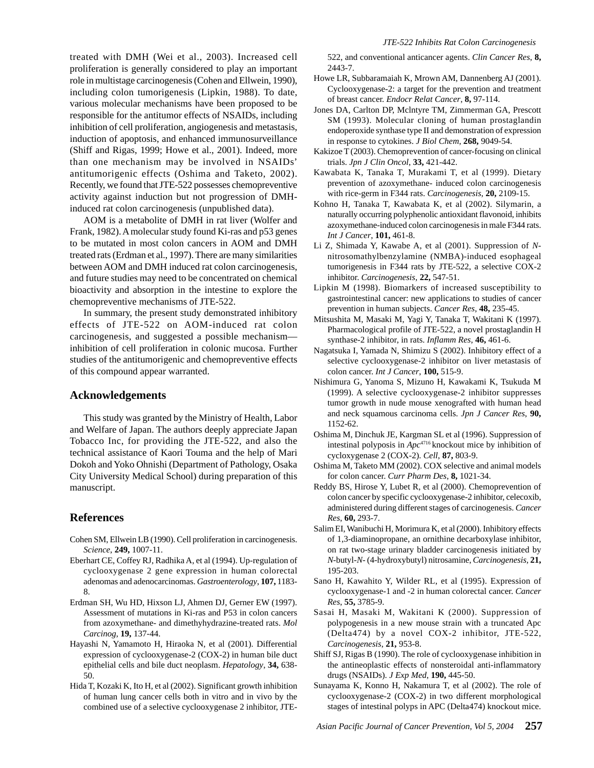treated with DMH (Wei et al., 2003). Increased cell proliferation is generally considered to play an important role in multistage carcinogenesis (Cohen and Ellwein, 1990), including colon tumorigenesis (Lipkin, 1988). To date, various molecular mechanisms have been proposed to be responsible for the antitumor effects of NSAIDs, including inhibition of cell proliferation, angiogenesis and metastasis, induction of apoptosis, and enhanced immunosurveillance (Shiff and Rigas, 1999; Howe et al., 2001). Indeed, more than one mechanism may be involved in NSAIDs' antitumorigenic effects (Oshima and Taketo, 2002). Recently, we found that JTE-522 possesses chemopreventive activity against induction but not progression of DMHinduced rat colon carcinogenesis (unpublished data).

AOM is a metabolite of DMH in rat liver (Wolfer and Frank, 1982). A molecular study found Ki-ras and p53 genes to be mutated in most colon cancers in AOM and DMH treated rats (Erdman et al., 1997). There are many similarities between AOM and DMH induced rat colon carcinogenesis, and future studies may need to be concentrated on chemical bioactivity and absorption in the intestine to explore the chemopreventive mechanisms of JTE-522.

In summary, the present study demonstrated inhibitory effects of JTE-522 on AOM-induced rat colon carcinogenesis, and suggested a possible mechanism inhibition of cell proliferation in colonic mucosa. Further studies of the antitumorigenic and chemopreventive effects of this compound appear warranted.

#### **Acknowledgements**

This study was granted by the Ministry of Health, Labor and Welfare of Japan. The authors deeply appreciate Japan Tobacco Inc, for providing the JTE-522, and also the technical assistance of Kaori Touma and the help of Mari Dokoh and Yoko Ohnishi (Department of Pathology, Osaka City University Medical School) during preparation of this manuscript.

# **References**

- Cohen SM, Ellwein LB (1990). Cell proliferation in carcinogenesis. *Science*, **249,** 1007-11.
- Eberhart CE, Coffey RJ, Radhika A, et al (1994). Up-regulation of cyclooxygenase 2 gene expression in human colorectal adenomas and adenocarcinomas. *Gastroenterology*, **107,** 1183- 8.
- Erdman SH, Wu HD, Hixson LJ, Ahmen DJ, Gerner EW (1997). Assessment of mutations in Ki-ras and P53 in colon cancers from azoxymethane- and dimethyhydrazine-treated rats. *Mol Carcinog*, **19,** 137-44.
- Hayashi N, Yamamoto H, Hiraoka N, et al (2001). Differential expression of cyclooxygenase-2 (COX-2) in human bile duct epithelial cells and bile duct neoplasm. *Hepatology*, **34,** 638- 50.
- Hida T, Kozaki K, Ito H, et al (2002). Significant growth inhibition of human lung cancer cells both in vitro and in vivo by the combined use of a selective cyclooxygenase 2 inhibitor, JTE-

522, and conventional anticancer agents. *Clin Cancer Res*, **8,** 2443-7.

- Howe LR, Subbaramaiah K, Mrown AM, Dannenberg AJ (2001). Cyclooxygenase-2: a target for the prevention and treatment of breast cancer. *Endocr Relat Cancer*, **8,** 97-114.
- Jones DA, Carlton DP, Mclntyre TM, Zimmerman GA, Prescott SM (1993). Molecular cloning of human prostaglandin endoperoxide synthase type II and demonstration of expression in response to cytokines. *J Biol Chem*, **268,** 9049-54.
- Kakizoe T (2003). Chemoprevention of cancer-focusing on clinical trials. *Jpn J Clin Oncol*, **33,** 421-442.
- Kawabata K, Tanaka T, Murakami T, et al (1999). Dietary prevention of azoxymethane- induced colon carcinogenesis with rice-germ in F344 rats. *Carcinogenesis*, **20,** 2109-15.
- Kohno H, Tanaka T, Kawabata K, et al (2002). Silymarin, a naturally occurring polyphenolic antioxidant flavonoid, inhibits azoxymethane-induced colon carcinogenesis in male F344 rats. *Int J Cancer*, **101,** 461-8.
- Li Z, Shimada Y, Kawabe A, et al (2001). Suppression of *N*nitrosomathylbenzylamine (NMBA)-induced esophageal tumorigenesis in F344 rats by JTE-522, a selective COX-2 inhibitor. *Carcinogenesis*, **22,** 547-51.
- Lipkin M (1998). Biomarkers of increased susceptibility to gastrointestinal cancer: new applications to studies of cancer prevention in human subjects. *Cancer Res*, **48,** 235-45.
- Mitsushita M, Masaki M, Yagi Y, Tanaka T, Wakitani K (1997). Pharmacological profile of JTE-522, a novel prostaglandin H synthase-2 inhibitor, in rats. *Inflamm Res*, **46,** 461-6.
- Nagatsuka I, Yamada N, Shimizu S (2002). Inhibitory effect of a selective cyclooxygenase-2 inhibitor on liver metastasis of colon cancer. *Int J Cancer*, **100,** 515-9.
- Nishimura G, Yanoma S, Mizuno H, Kawakami K, Tsukuda M (1999). A selective cyclooxygenase-2 inhibitor suppresses tumor growth in nude mouse xenografted with human head and neck squamous carcinoma cells. *Jpn J Cancer Res*, **90,** 1152-62.
- Oshima M, Dinchuk JE, Kargman SL et al (1996). Suppression of intestinal polyposis in *Apc*4716 knockout mice by inhibition of cycloxygenase 2 (COX-2). *Cell*, **87,** 803-9.
- Oshima M, Taketo MM (2002). COX selective and animal models for colon cancer. *Curr Pharm Des*, **8,** 1021-34.
- Reddy BS, Hirose Y, Lubet R, et al (2000). Chemoprevention of colon cancer by specific cyclooxygenase-2 inhibitor, celecoxib, administered during different stages of carcinogenesis. *Cancer Res*, **60,** 293-7.
- Salim EI, Wanibuchi H, Morimura K, et al (2000). Inhibitory effects of 1,3-diaminopropane, an ornithine decarboxylase inhibitor, on rat two-stage urinary bladder carcinogenesis initiated by *N*-butyl-*N*- (4-hydroxybutyl) nitrosamine, *Carcinogenesis,* **21,** 195-203.
- Sano H, Kawahito Y, Wilder RL, et al (1995). Expression of cyclooxygenase-1 and -2 in human colorectal cancer. *Cancer Res*, **55,** 3785-9.
- Sasai H, Masaki M, Wakitani K (2000). Suppression of polypogenesis in a new mouse strain with a truncated Apc (Delta474) by a novel COX-2 inhibitor, JTE-522, *Carcinogenesis*, **21,** 953-8.
- Shiff SJ, Rigas B (1990). The role of cyclooxygenase inhibition in the antineoplastic effects of nonsteroidal anti-inflammatory drugs (NSAIDs). *J Exp Med*, **190,** 445-50.
- Sunayama K, Konno H, Nakamura T, et al (2002). The role of cyclooxygenase-2 (COX-2) in two different morphological stages of intestinal polyps in APC (Delta474) knockout mice.

*Asian Pacific Journal of Cancer Prevention, Vol 5, 2004* **257**